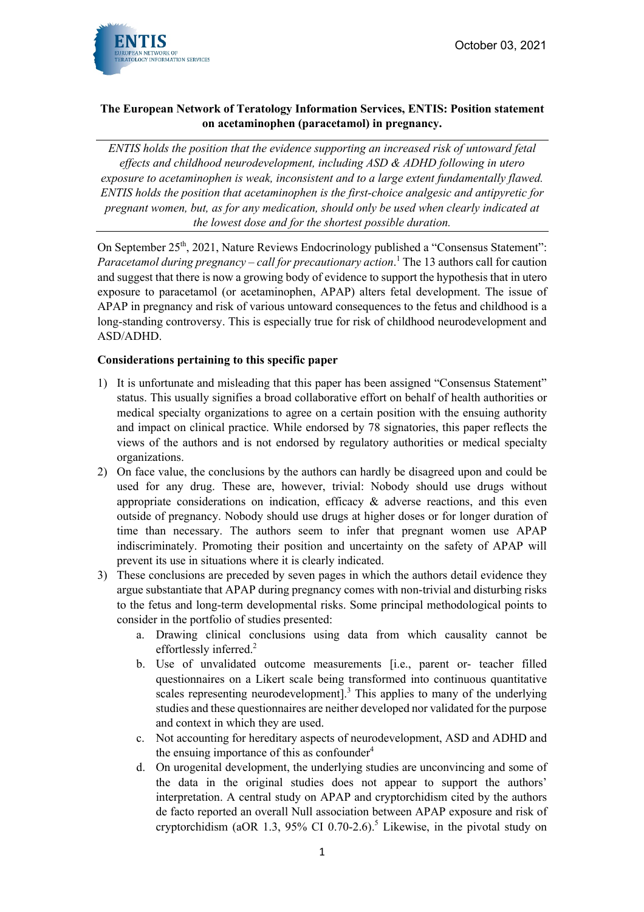October 03, 2021



## **The European Network of Teratology Information Services, ENTIS: Position statement on acetaminophen (paracetamol) in pregnancy.**

*ENTIS holds the position that the evidence supporting an increased risk of untoward fetal effects and childhood neurodevelopment, including ASD & ADHD following in utero exposure to acetaminophen is weak, inconsistent and to a large extent fundamentally flawed. ENTIS holds the position that acetaminophen is the first-choice analgesic and antipyretic for pregnant women, but, as for any medication, should only be used when clearly indicated at the lowest dose and for the shortest possible duration.* 

On September 25<sup>th</sup>, 2021, Nature Reviews Endocrinology published a "Consensus Statement": *Paracetamol during pregnancy – call for precautionary action*. <sup>1</sup> The 13 authors call for caution and suggest that there is now a growing body of evidence to support the hypothesis that in utero exposure to paracetamol (or acetaminophen, APAP) alters fetal development. The issue of APAP in pregnancy and risk of various untoward consequences to the fetus and childhood is a long-standing controversy. This is especially true for risk of childhood neurodevelopment and ASD/ADHD.

## **Considerations pertaining to this specific paper**

- 1) It is unfortunate and misleading that this paper has been assigned "Consensus Statement" status. This usually signifies a broad collaborative effort on behalf of health authorities or medical specialty organizations to agree on a certain position with the ensuing authority and impact on clinical practice. While endorsed by 78 signatories, this paper reflects the views of the authors and is not endorsed by regulatory authorities or medical specialty organizations.
- 2) On face value, the conclusions by the authors can hardly be disagreed upon and could be used for any drug. These are, however, trivial: Nobody should use drugs without appropriate considerations on indication, efficacy  $\&$  adverse reactions, and this even outside of pregnancy. Nobody should use drugs at higher doses or for longer duration of time than necessary. The authors seem to infer that pregnant women use APAP indiscriminately. Promoting their position and uncertainty on the safety of APAP will prevent its use in situations where it is clearly indicated.
- 3) These conclusions are preceded by seven pages in which the authors detail evidence they argue substantiate that APAP during pregnancy comes with non-trivial and disturbing risks to the fetus and long-term developmental risks. Some principal methodological points to consider in the portfolio of studies presented:
	- a. Drawing clinical conclusions using data from which causality cannot be effortlessly inferred.<sup>2</sup>
	- b. Use of unvalidated outcome measurements [i.e., parent or- teacher filled questionnaires on a Likert scale being transformed into continuous quantitative scales representing neurodevelopment].<sup>3</sup> This applies to many of the underlying studies and these questionnaires are neither developed nor validated for the purpose and context in which they are used.
	- c. Not accounting for hereditary aspects of neurodevelopment, ASD and ADHD and the ensuing importance of this as confounder $4$
	- d. On urogenital development, the underlying studies are unconvincing and some of the data in the original studies does not appear to support the authors' interpretation. A central study on APAP and cryptorchidism cited by the authors de facto reported an overall Null association between APAP exposure and risk of cryptorchidism (aOR 1.3, 95% CI 0.70-2.6). <sup>5</sup> Likewise, in the pivotal study on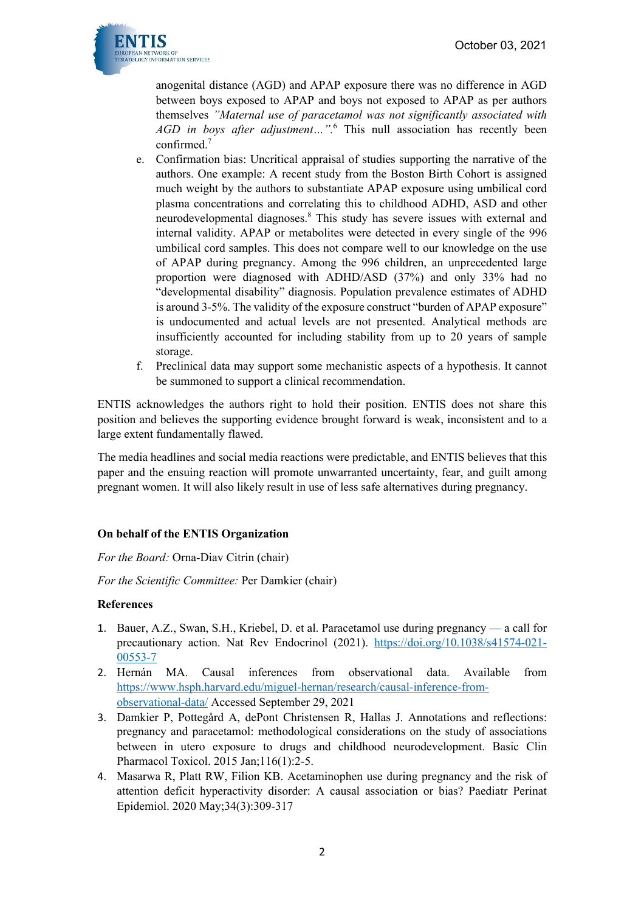

anogenital distance (AGD) and APAP exposure there was no difference in AGD between boys exposed to APAP and boys not exposed to APAP as per authors themselves *"Maternal use of paracetamol was not significantly associated with AGD in boys after adjustment…".* <sup>6</sup> This null association has recently been confirmed.7

- e. Confirmation bias: Uncritical appraisal of studies supporting the narrative of the authors. One example: A recent study from the Boston Birth Cohort is assigned much weight by the authors to substantiate APAP exposure using umbilical cord plasma concentrations and correlating this to childhood ADHD, ASD and other neurodevelopmental diagnoses.<sup>8</sup> This study has severe issues with external and internal validity. APAP or metabolites were detected in every single of the 996 umbilical cord samples. This does not compare well to our knowledge on the use of APAP during pregnancy. Among the 996 children, an unprecedented large proportion were diagnosed with ADHD/ASD (37%) and only 33% had no "developmental disability" diagnosis. Population prevalence estimates of ADHD is around 3-5%. The validity of the exposure construct "burden of APAP exposure" is undocumented and actual levels are not presented. Analytical methods are insufficiently accounted for including stability from up to 20 years of sample storage.
- f. Preclinical data may support some mechanistic aspects of a hypothesis. It cannot be summoned to support a clinical recommendation.

ENTIS acknowledges the authors right to hold their position. ENTIS does not share this position and believes the supporting evidence brought forward is weak, inconsistent and to a large extent fundamentally flawed.

The media headlines and social media reactions were predictable, and ENTIS believes that this paper and the ensuing reaction will promote unwarranted uncertainty, fear, and guilt among pregnant women. It will also likely result in use of less safe alternatives during pregnancy.

## **On behalf of the ENTIS Organization**

*For the Board:* Orna-Diav Citrin (chair)

*For the Scientific Committee:* Per Damkier (chair)

## **References**

- 1. Bauer, A.Z., Swan, S.H., Kriebel, D. et al. Paracetamol use during pregnancy a call for precautionary action. Nat Rev Endocrinol (2021). https://doi.org/10.1038/s41574-021- 00553-7
- 2. Hernán MA. Causal inferences from observational data. Available from https://www.hsph.harvard.edu/miguel-hernan/research/causal-inference-fromobservational-data/ Accessed September 29, 2021
- 3. Damkier P, Pottegård A, dePont Christensen R, Hallas J. Annotations and reflections: pregnancy and paracetamol: methodological considerations on the study of associations between in utero exposure to drugs and childhood neurodevelopment. Basic Clin Pharmacol Toxicol. 2015 Jan;116(1):2-5.
- 4. Masarwa R, Platt RW, Filion KB. Acetaminophen use during pregnancy and the risk of attention deficit hyperactivity disorder: A causal association or bias? Paediatr Perinat Epidemiol. 2020 May;34(3):309-317